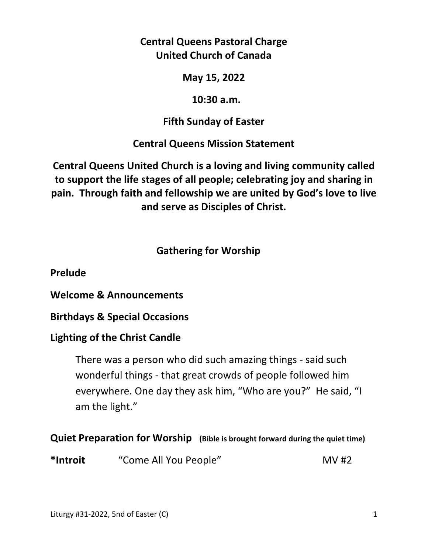**Central Queens Pastoral Charge United Church of Canada** 

**May 15, 2022** 

 **10:30 a.m.** 

**Fifth Sunday of Easter** 

**Central Queens Mission Statement** 

**Central Queens United Church is a loving and living community called to support the life stages of all people; celebrating joy and sharing in pain. Through faith and fellowship we are united by God's love to live and serve as Disciples of Christ.**

 **Gathering for Worship** 

**Prelude** 

**Welcome & Announcements** 

**Birthdays & Special Occasions** 

# **Lighting of the Christ Candle**

There was a person who did such amazing things - said such wonderful things - that great crowds of people followed him everywhere. One day they ask him, "Who are you?" He said, "I am the light."

**Quiet Preparation for Worship (Bible is brought forward during the quiet time)** 

\*Introit "Come All You People" MV #2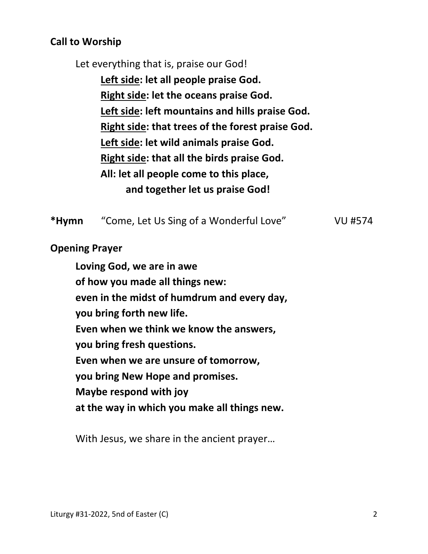### **Call to Worship**

Let everything that is, praise our God!

 **Left side: let all people praise God. Right side: let the oceans praise God. Left side: left mountains and hills praise God. Right side: that trees of the forest praise God. Left side: let wild animals praise God. Right side: that all the birds praise God. All: let all people come to this place, and together let us praise God!** 

**\*Hymn** "Come, Let Us Sing of a Wonderful Love" VU #574

**Opening Prayer** 

 **Loving God, we are in awe of how you made all things new: even in the midst of humdrum and every day, you bring forth new life. Even when we think we know the answers, you bring fresh questions. Even when we are unsure of tomorrow, you bring New Hope and promises. Maybe respond with joy at the way in which you make all things new.** 

With Jesus, we share in the ancient prayer…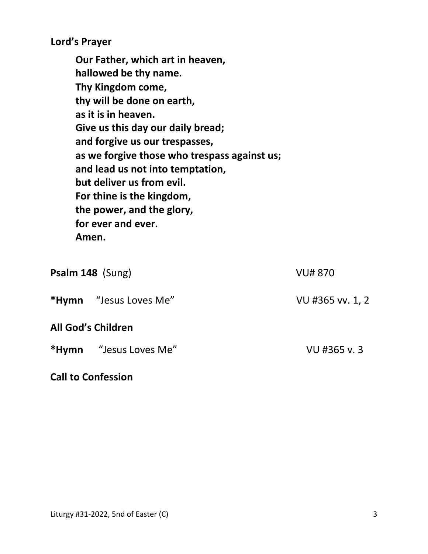**Lord's Prayer** 

**Our Father, which art in heaven, hallowed be thy name. Thy Kingdom come, thy will be done on earth, as it is in heaven. Give us this day our daily bread; and forgive us our trespasses, as we forgive those who trespass against us; and lead us not into temptation, but deliver us from evil. For thine is the kingdom, the power, and the glory, for ever and ever. Amen.** 

| Psalm 148 (Sung) |                               | <b>VU# 870</b>   |
|------------------|-------------------------------|------------------|
|                  | <b>*Hymn</b> "Jesus Loves Me" | VU #365 vv. 1, 2 |
|                  | <b>All God's Children</b>     |                  |
|                  | <b>*Hymn</b> "Jesus Loves Me" | VU #365 v. 3     |
|                  |                               |                  |

#### **Call to Confession**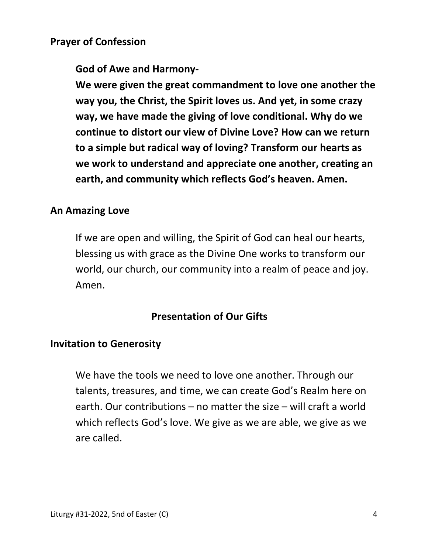#### **Prayer of Confession**

 **God of Awe and Harmony-** 

 **We were given the great commandment to love one another the way you, the Christ, the Spirit loves us. And yet, in some crazy way, we have made the giving of love conditional. Why do we continue to distort our view of Divine Love? How can we return to a simple but radical way of loving? Transform our hearts as we work to understand and appreciate one another, creating an earth, and community which reflects God's heaven. Amen.**

#### **An Amazing Love**

If we are open and willing, the Spirit of God can heal our hearts, blessing us with grace as the Divine One works to transform our world, our church, our community into a realm of peace and joy. Amen.

### **Presentation of Our Gifts**

#### **Invitation to Generosity**

 We have the tools we need to love one another. Through our talents, treasures, and time, we can create God's Realm here on earth. Our contributions – no matter the size – will craft a world which reflects God's love. We give as we are able, we give as we are called.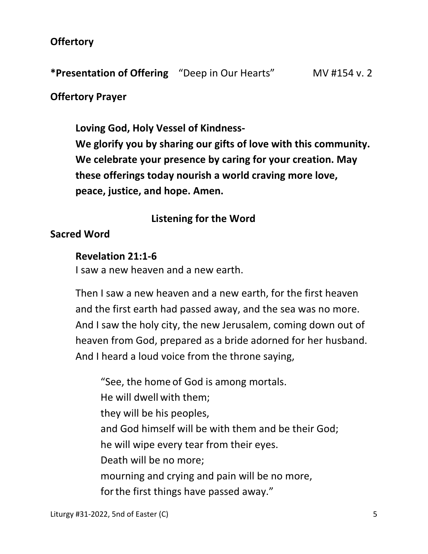### **Offertory**

**\*Presentation of Offering** "Deep in Our Hearts" MV #154 v. 2

### **Offertory Prayer**

**Loving God, Holy Vessel of Kindness-** 

 **We glorify you by sharing our gifts of love with this community. We celebrate your presence by caring for your creation. May these offerings today nourish a world craving more love, peace, justice, and hope. Amen.** 

## **Listening for the Word**

### **Sacred Word**

#### **Revelation 21:1-6**

I saw a new heaven and a new earth.

 Then I saw a new heaven and a new earth, for the first heaven and the first earth had passed away, and the sea was no more. And I saw the holy city, the new Jerusalem, coming down out of heaven from God, prepared as a bride adorned for her husband. And I heard a loud voice from the throne saying,

 "See, the home of God is among mortals. He will dwell with them; they will be his peoples, and God himself will be with them and be their God; he will wipe every tear from their eyes. Death will be no more; mourning and crying and pain will be no more, forthe first things have passed away."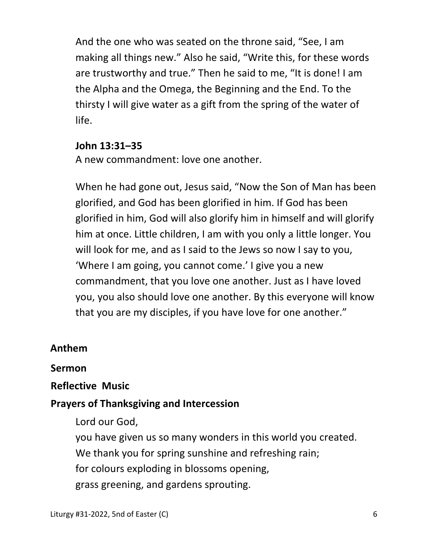And the one who was seated on the throne said, "See, I am making all things new." Also he said, "Write this, for these words are trustworthy and true." Then he said to me, "It is done! I am the Alpha and the Omega, the Beginning and the End. To the thirsty I will give water as a gift from the spring of the water of life.

### **John 13:31–35**

A new commandment: love one another.

When he had gone out, Jesus said, "Now the Son of Man has been glorified, and God has been glorified in him. If God has been glorified in him, God will also glorify him in himself and will glorify him at once. Little children, I am with you only a little longer. You will look for me, and as I said to the Jews so now I say to you, 'Where I am going, you cannot come.' I give you a new commandment, that you love one another. Just as I have loved you, you also should love one another. By this everyone will know that you are my disciples, if you have love for one another."

### **Anthem**

#### **Sermon**

## **Reflective Music**

## **Prayers of Thanksgiving and Intercession**

Lord our God,

you have given us so many wonders in this world you created.

We thank you for spring sunshine and refreshing rain;

for colours exploding in blossoms opening,

grass greening, and gardens sprouting.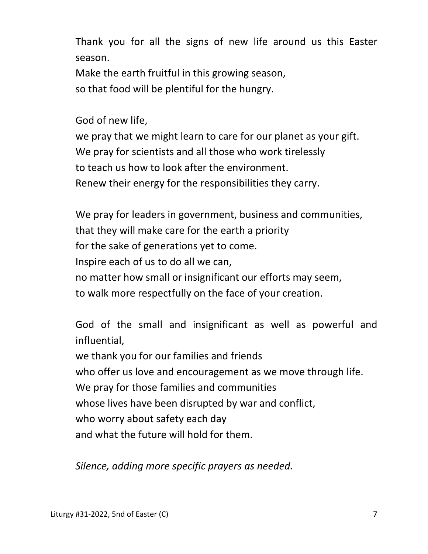Thank you for all the signs of new life around us this Easter season.

 Make the earth fruitful in this growing season, so that food will be plentiful for the hungry.

God of new life,

 we pray that we might learn to care for our planet as your gift. We pray for scientists and all those who work tirelessly to teach us how to look after the environment. Renew their energy for the responsibilities they carry.

 We pray for leaders in government, business and communities, that they will make care for the earth a priority for the sake of generations yet to come. Inspire each of us to do all we can, no matter how small or insignificant our efforts may seem, to walk more respectfully on the face of your creation.

 God of the small and insignificant as well as powerful and influential, we thank you for our families and friends who offer us love and encouragement as we move through life. We pray for those families and communities whose lives have been disrupted by war and conflict, who worry about safety each day and what the future will hold for them.

*Silence, adding more specific prayers as needed.*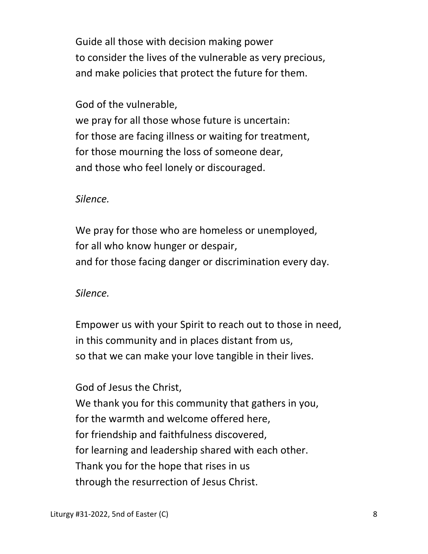Guide all those with decision making power to consider the lives of the vulnerable as very precious, and make policies that protect the future for them.

### God of the vulnerable,

 we pray for all those whose future is uncertain: for those are facing illness or waiting for treatment, for those mourning the loss of someone dear, and those who feel lonely or discouraged.

### *Silence.*

 We pray for those who are homeless or unemployed, for all who know hunger or despair, and for those facing danger or discrimination every day.

## *Silence.*

 Empower us with your Spirit to reach out to those in need, in this community and in places distant from us, so that we can make your love tangible in their lives.

# God of Jesus the Christ,

We thank you for this community that gathers in you, for the warmth and welcome offered here, for friendship and faithfulness discovered, for learning and leadership shared with each other. Thank you for the hope that rises in us through the resurrection of Jesus Christ.